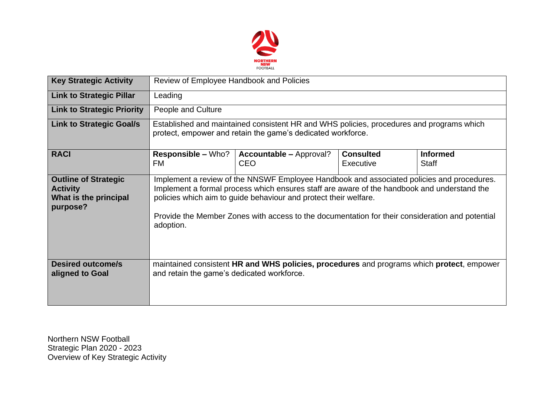

| <b>Key Strategic Activity</b>                                                       | Review of Employee Handbook and Policies                                                                                                                                                                                                                                                                                                                                     |                                                                                           |                               |                          |  |  |  |
|-------------------------------------------------------------------------------------|------------------------------------------------------------------------------------------------------------------------------------------------------------------------------------------------------------------------------------------------------------------------------------------------------------------------------------------------------------------------------|-------------------------------------------------------------------------------------------|-------------------------------|--------------------------|--|--|--|
| <b>Link to Strategic Pillar</b>                                                     | Leading                                                                                                                                                                                                                                                                                                                                                                      |                                                                                           |                               |                          |  |  |  |
| <b>Link to Strategic Priority</b>                                                   | People and Culture                                                                                                                                                                                                                                                                                                                                                           |                                                                                           |                               |                          |  |  |  |
| <b>Link to Strategic Goal/s</b>                                                     | Established and maintained consistent HR and WHS policies, procedures and programs which<br>protect, empower and retain the game's dedicated workforce.                                                                                                                                                                                                                      |                                                                                           |                               |                          |  |  |  |
| <b>RACI</b>                                                                         | <b>Responsible – Who?</b><br>FM                                                                                                                                                                                                                                                                                                                                              | <b>Accountable - Approval?</b><br><b>CEO</b>                                              | <b>Consulted</b><br>Executive | <b>Informed</b><br>Staff |  |  |  |
| <b>Outline of Strategic</b><br><b>Activity</b><br>What is the principal<br>purpose? | Implement a review of the NNSWF Employee Handbook and associated policies and procedures.<br>Implement a formal process which ensures staff are aware of the handbook and understand the<br>policies which aim to guide behaviour and protect their welfare.<br>Provide the Member Zones with access to the documentation for their consideration and potential<br>adoption. |                                                                                           |                               |                          |  |  |  |
| <b>Desired outcome/s</b><br>aligned to Goal                                         | and retain the game's dedicated workforce.                                                                                                                                                                                                                                                                                                                                   | maintained consistent HR and WHS policies, procedures and programs which protect, empower |                               |                          |  |  |  |

Northern NSW Football Strategic Plan 2020 - 2023 Overview of Key Strategic Activity